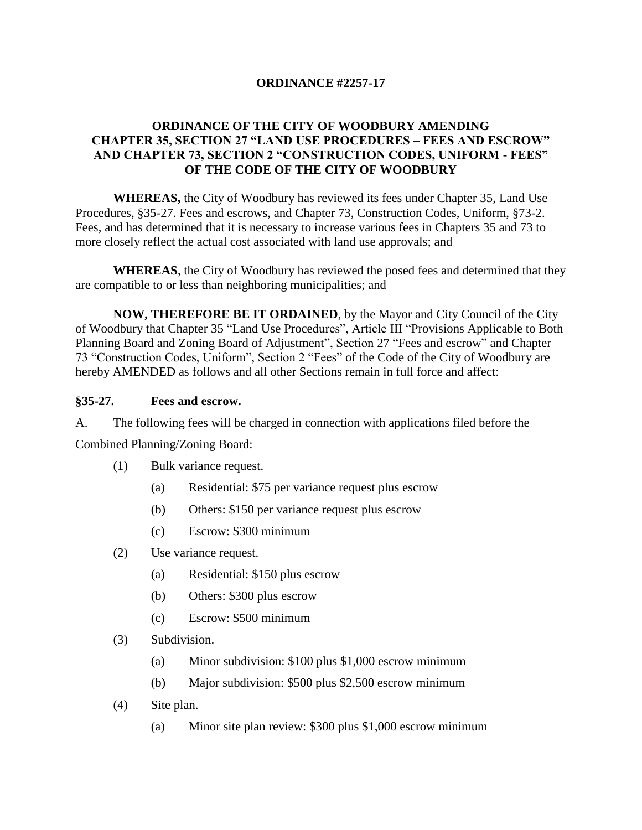### **ORDINANCE #2257-17**

# **ORDINANCE OF THE CITY OF WOODBURY AMENDING CHAPTER 35, SECTION 27 "LAND USE PROCEDURES – FEES AND ESCROW" AND CHAPTER 73, SECTION 2 "CONSTRUCTION CODES, UNIFORM - FEES" OF THE CODE OF THE CITY OF WOODBURY**

**WHEREAS,** the City of Woodbury has reviewed its fees under Chapter 35, Land Use Procedures, §35-27. Fees and escrows, and Chapter 73, Construction Codes, Uniform, §73-2. Fees, and has determined that it is necessary to increase various fees in Chapters 35 and 73 to more closely reflect the actual cost associated with land use approvals; and

**WHEREAS**, the City of Woodbury has reviewed the posed fees and determined that they are compatible to or less than neighboring municipalities; and

**NOW, THEREFORE BE IT ORDAINED**, by the Mayor and City Council of the City of Woodbury that Chapter 35 "Land Use Procedures", Article III "Provisions Applicable to Both Planning Board and Zoning Board of Adjustment", Section 27 "Fees and escrow" and Chapter 73 "Construction Codes, Uniform", Section 2 "Fees" of the Code of the City of Woodbury are hereby AMENDED as follows and all other Sections remain in full force and affect:

#### **§35-27. Fees and escrow.**

A. The following fees will be charged in connection with applications filed before the

Combined Planning/Zoning Board:

- (1) Bulk variance request.
	- (a) Residential: \$75 per variance request plus escrow
	- (b) Others: \$150 per variance request plus escrow
	- (c) Escrow: \$300 minimum
- (2) Use variance request.
	- (a) Residential: \$150 plus escrow
	- (b) Others: \$300 plus escrow
	- (c) Escrow: \$500 minimum
- (3) Subdivision.
	- (a) Minor subdivision: \$100 plus \$1,000 escrow minimum
	- (b) Major subdivision: \$500 plus \$2,500 escrow minimum
- (4) Site plan.
	- (a) Minor site plan review: \$300 plus \$1,000 escrow minimum